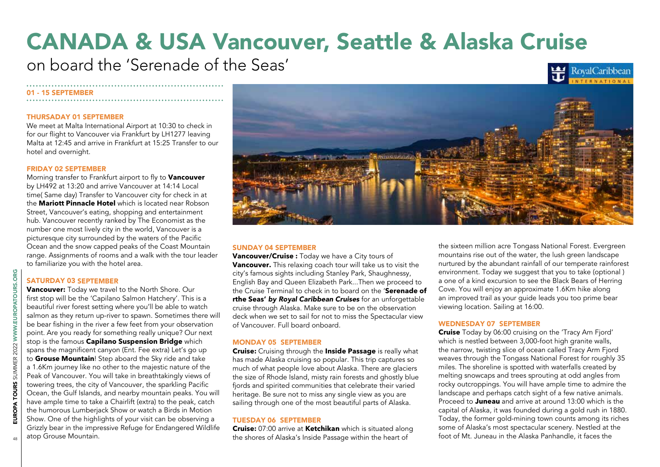# CANADA & USA Vancouver, Seattle & Alaska Cruise

# on board the 'Serenade of the Seas'

01 - 15 SEPTEMBER

# THURSADAY 01 SEPTEMBER

We meet at Malta International Airport at 10:30 to check in for our flight to Vancouver via Frankfurt by LH1277 leaving Malta at 12:45 and arrive in Frankfurt at 15:25 Transfer to our hotel and overnight.

# FRIDAY 02 SEPTEMBER

Morning transfer to Frankfurt airport to fly to **Vancouver** by LH492 at 13:20 and arrive Vancouver at 14:14 Local time( Same day) Transfer to Vancouver city for check in at the **Mariott Pinnacle Hotel** which is located near Robson Street, Vancouver's eating, shopping and entertainment hub. Vancouver recently ranked by The Economist as the number one most lively city in the world, Vancouver is a picturesque city surrounded by the waters of the Pacific Ocean and the snow capped peaks of the Coast Mountain range. Assignments of rooms and a walk with the tour leader to familiarize you with the hotel area.

# SATURDAY 03 SEPTEMBER

**Vancouver:** Today we travel to the North Shore. Our first stop will be the 'Capilano Salmon Hatchery'. This is a beautiful river forest setting where you'll be able to watch salmon as they return up-river to spawn. Sometimes there will be bear fishing in the river a few feet from your observation point. Are you ready for something really unique? Our next stop is the famous **Capilano Suspension Bridge** which spans the magnificent canyon (Ent. Fee extra) Let's go up to **Grouse Mountain**! Step aboard the Sky ride and take a 1.6Km journey like no other to the majestic nature of the Peak of Vancouver. You will take in breathtakingly views of towering trees, the city of Vancouver, the sparkling Pacific Ocean, the Gulf Islands, and nearby mountain peaks. You will have ample time to take a Chairlift (extra) to the peak, catch the humorous Lumberjack Show or watch a Birds in Motion Show. One of the highlights of your visit can be observing a Grizzly bear in the impressive Refuge for Endangered Wildlife atop Grouse Mountain. For the Capital of Mt. Feo extrained the Schellers of Manus sights have a **Capital Commented** Summer Teday was supposed to a one of a kind excursion to see the Black Bears of Herman Commenter Teday we travel to the Capitan



# SUNDAY 04 SEPTEMBER

**Vancouver/Cruise :** Today we have a City tours of **Vancouver.** This relaxing coach tour will take us to visit the city's famous sights including Stanley Park, Shaughnessy, English Bay and Queen Elizabeth Park...Then we proceed to the Cruise Terminal to check in to board on the '**Serenade of rthe Seas'** *by Royal Caribbean Cruises* for an unforgettable cruise through Alaska. Make sure to be on the observation deck when we set to sail for not to miss the Spectacular view of Vancouver. Full board onboard.

# MONDAY 05 SEPTEMBER

**Cruise:** Cruising through the **Inside Passage** is really what has made Alaska cruising so popular. This trip captures so much of what people love about Alaska. There are glaciers the size of Rhode Island, misty rain forests and ghostly blue fjords and spirited communities that celebrate their varied heritage. Be sure not to miss any single view as you are sailing through one of the most beautiful parts of Alaska.

# TUESDAY 06 SEPTEMBER

**Cruise:** 07:00 arrive at **Ketchikan** which is situated along the shores of Alaska's Inside Passage within the heart of

the sixteen million acre Tongass National Forest. Evergreen mountains rise out of the water, the lush green landscape nurtured by the abundant rainfall of our temperate rainforest environment. Today we suggest that you to take (optional ) a one of a kind excursion to see the Black Bears of Herring Cove. You will enjoy an approximate 1.6Km hike along an improved trail as your quide leads you too prime bear viewing location. Sailing at 16:00.

**RovalCaribbean** 

# WEDNESDAY 07 SEPTEMBER

**Cruise** Today by 06:00 cruising on the 'Tracy Am Fjord' which is nestled between 3,000-foot high granite walls, the narrow, twisting slice of ocean called Tracy Arm Fjord weaves through the Tongass National Forest for roughly 35 miles. The shoreline is spotted with waterfalls created by melting snowcaps and trees sprouting at odd angles from rocky outcroppings. You will have ample time to admire the landscape and perhaps catch sight of a few native animals. Proceed to **Juneau** and arrive at around 13:00 which is the capital of Alaska, it was founded during a gold rush in 1880. Today, the former gold-mining town counts among its riches some of Alaska's most spectacular scenery. Nestled at the foot of Mt. Juneau in the Alaska Panhandle, it faces the